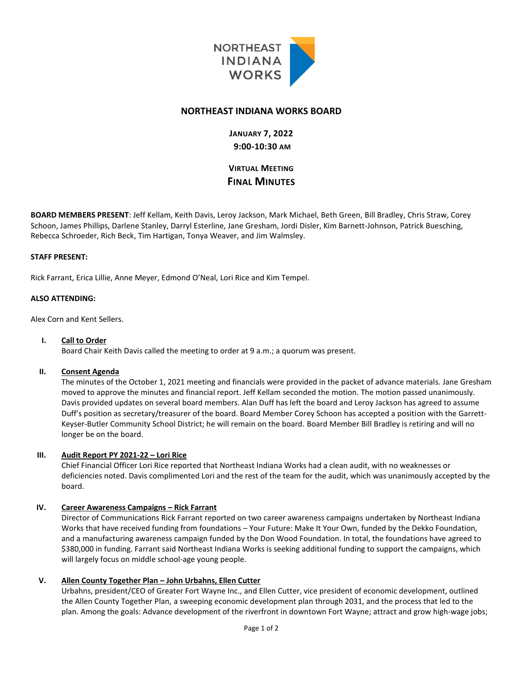

## **NORTHEAST INDIANA WORKS BOARD**

# **JANUARY 7, 2022 9:00-10:30 AM**

**VIRTUAL MEETING FINAL MINUTES**

**BOARD MEMBERS PRESENT**: Jeff Kellam, Keith Davis, Leroy Jackson, Mark Michael, Beth Green, Bill Bradley, Chris Straw, Corey Schoon, James Phillips, Darlene Stanley, Darryl Esterline, Jane Gresham, Jordi Disler, Kim Barnett-Johnson, Patrick Buesching, Rebecca Schroeder, Rich Beck, Tim Hartigan, Tonya Weaver, and Jim Walmsley.

#### **STAFF PRESENT:**

Rick Farrant, Erica Lillie, Anne Meyer, Edmond O'Neal, Lori Rice and Kim Tempel.

### **ALSO ATTENDING:**

Alex Corn and Kent Sellers.

#### **I. Call to Order**

Board Chair Keith Davis called the meeting to order at 9 a.m.; a quorum was present.

#### **II. Consent Agenda**

The minutes of the October 1, 2021 meeting and financials were provided in the packet of advance materials. Jane Gresham moved to approve the minutes and financial report. Jeff Kellam seconded the motion. The motion passed unanimously. Davis provided updates on several board members. Alan Duff has left the board and Leroy Jackson has agreed to assume Duff's position as secretary/treasurer of the board. Board Member Corey Schoon has accepted a position with the Garrett-Keyser-Butler Community School District; he will remain on the board. Board Member Bill Bradley is retiring and will no longer be on the board.

### **III. Audit Report PY 2021-22 – Lori Rice**

Chief Financial Officer Lori Rice reported that Northeast Indiana Works had a clean audit, with no weaknesses or deficiencies noted. Davis complimented Lori and the rest of the team for the audit, which was unanimously accepted by the board.

### **IV. Career Awareness Campaigns – Rick Farrant**

Director of Communications Rick Farrant reported on two career awareness campaigns undertaken by Northeast Indiana Works that have received funding from foundations – Your Future: Make It Your Own, funded by the Dekko Foundation, and a manufacturing awareness campaign funded by the Don Wood Foundation. In total, the foundations have agreed to \$380,000 in funding. Farrant said Northeast Indiana Works is seeking additional funding to support the campaigns, which will largely focus on middle school-age young people.

### **V. Allen County Together Plan – John Urbahns, Ellen Cutter**

Urbahns, president/CEO of Greater Fort Wayne Inc., and Ellen Cutter, vice president of economic development, outlined the Allen County Together Plan, a sweeping economic development plan through 2031, and the process that led to the plan. Among the goals: Advance development of the riverfront in downtown Fort Wayne; attract and grow high-wage jobs;